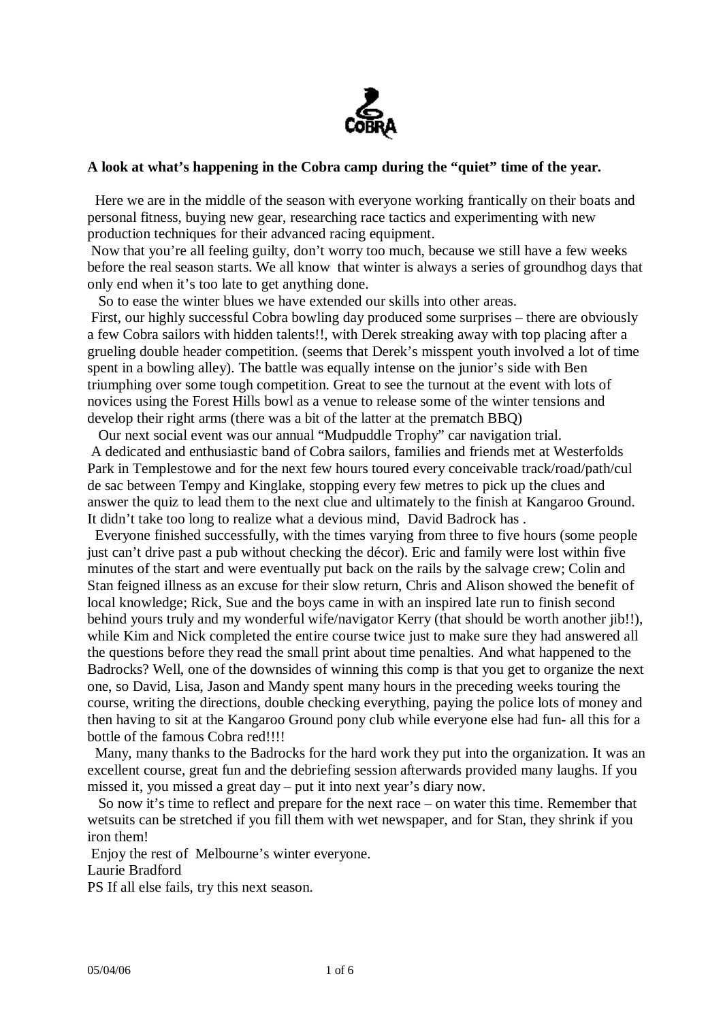

#### **A look at what's happening in the Cobra camp during the "quiet" time of the year.**

 Here we are in the middle of the season with everyone working frantically on their boats and personal fitness, buying new gear, researching race tactics and experimenting with new production techniques for their advanced racing equipment.

Now that you're all feeling guilty, don't worry too much, because we still have a few weeks before the real season starts. We all know that winter is always a series of groundhog days that only end when it's too late to get anything done.

So to ease the winter blues we have extended our skills into other areas.

First, our highly successful Cobra bowling day produced some surprises – there are obviously a few Cobra sailors with hidden talents!!, with Derek streaking away with top placing after a grueling double header competition. (seems that Derek's misspent youth involved a lot of time spent in a bowling alley). The battle was equally intense on the junior's side with Ben triumphing over some tough competition. Great to see the turnout at the event with lots of novices using the Forest Hills bowl as a venue to release some of the winter tensions and develop their right arms (there was a bit of the latter at the prematch BBQ)

Our next social event was our annual "Mudpuddle Trophy" car navigation trial. A dedicated and enthusiastic band of Cobra sailors, families and friends met at Westerfolds Park in Templestowe and for the next few hours toured every conceivable track/road/path/cul de sac between Tempy and Kinglake, stopping every few metres to pick up the clues and answer the quiz to lead them to the next clue and ultimately to the finish at Kangaroo Ground. It didn't take too long to realize what a devious mind, David Badrock has .

 Everyone finished successfully, with the times varying from three to five hours (some people just can't drive past a pub without checking the décor). Eric and family were lost within five minutes of the start and were eventually put back on the rails by the salvage crew; Colin and Stan feigned illness as an excuse for their slow return, Chris and Alison showed the benefit of local knowledge; Rick, Sue and the boys came in with an inspired late run to finish second behind yours truly and my wonderful wife/navigator Kerry (that should be worth another jib!!), while Kim and Nick completed the entire course twice just to make sure they had answered all the questions before they read the small print about time penalties. And what happened to the Badrocks? Well, one of the downsides of winning this comp is that you get to organize the next one, so David, Lisa, Jason and Mandy spent many hours in the preceding weeks touring the course, writing the directions, double checking everything, paying the police lots of money and then having to sit at the Kangaroo Ground pony club while everyone else had fun- all this for a bottle of the famous Cobra red!!!!

 Many, many thanks to the Badrocks for the hard work they put into the organization. It was an excellent course, great fun and the debriefing session afterwards provided many laughs. If you missed it, you missed a great day – put it into next year's diary now.

So now it's time to reflect and prepare for the next race – on water this time. Remember that wetsuits can be stretched if you fill them with wet newspaper, and for Stan, they shrink if you iron them!

Enjoy the rest of Melbourne's winter everyone.

Laurie Bradford

PS If all else fails, try this next season.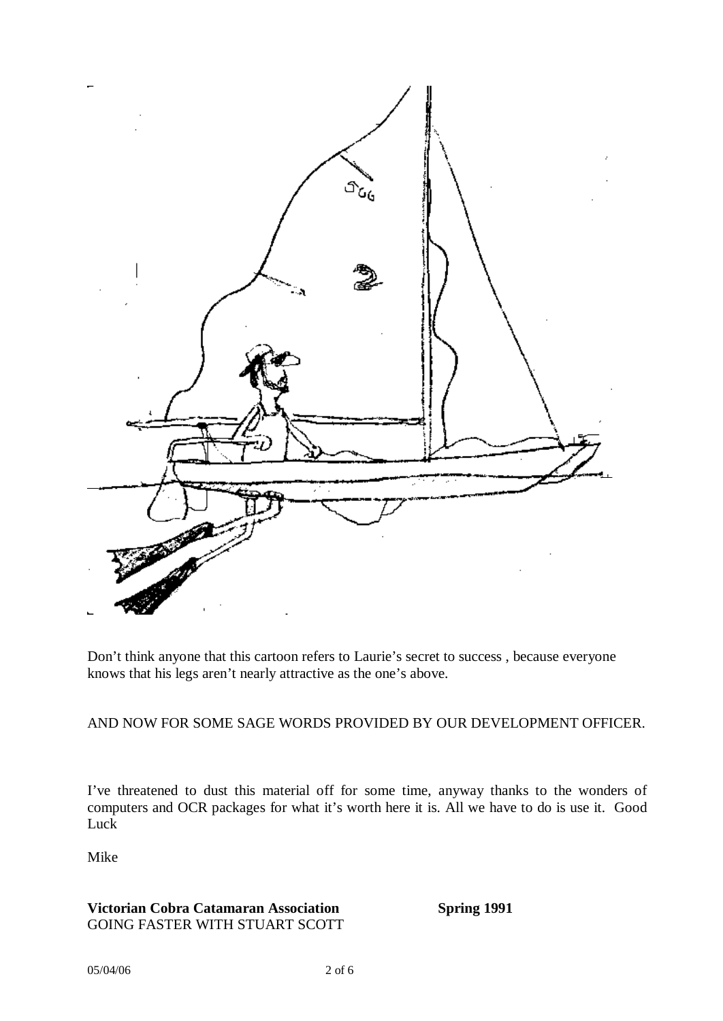

Don't think anyone that this cartoon refers to Laurie's secret to success , because everyone knows that his legs aren't nearly attractive as the one's above.

#### AND NOW FOR SOME SAGE WORDS PROVIDED BY OUR DEVELOPMENT OFFICER.

I've threatened to dust this material off for some time, anyway thanks to the wonders of computers and OCR packages for what it's worth here it is. All we have to do is use it. Good Luck

Mike

# **Victorian Cobra Catamaran Association Spring 1991**  GOING FASTER WITH STUART SCOTT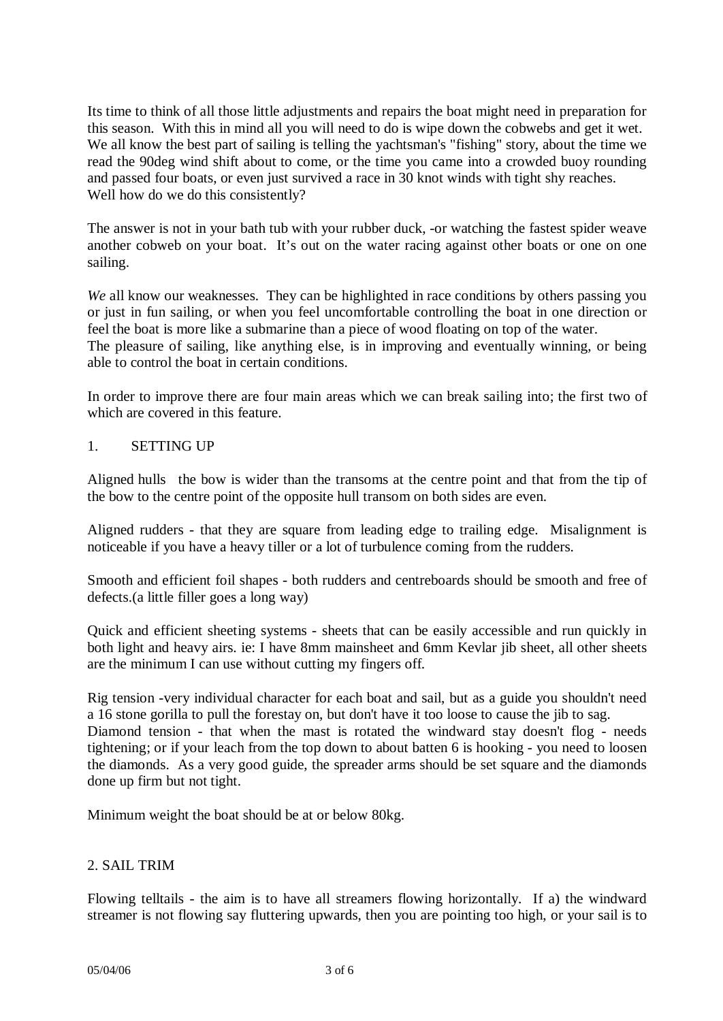Its time to think of all those little adjustments and repairs the boat might need in preparation for this season. With this in mind all you will need to do is wipe down the cobwebs and get it wet. We all know the best part of sailing is telling the yachtsman's "fishing" story, about the time we read the 90deg wind shift about to come, or the time you came into a crowded buoy rounding and passed four boats, or even just survived a race in 30 knot winds with tight shy reaches. Well how do we do this consistently?

The answer is not in your bath tub with your rubber duck, -or watching the fastest spider weave another cobweb on your boat. It's out on the water racing against other boats or one on one sailing.

*We* all know our weaknesses. They can be highlighted in race conditions by others passing you or just in fun sailing, or when you feel uncomfortable controlling the boat in one direction or feel the boat is more like a submarine than a piece of wood floating on top of the water. The pleasure of sailing, like anything else, is in improving and eventually winning, or being able to control the boat in certain conditions.

In order to improve there are four main areas which we can break sailing into; the first two of which are covered in this feature.

### 1. SETTING UP

Aligned hulls the bow is wider than the transoms at the centre point and that from the tip of the bow to the centre point of the opposite hull transom on both sides are even.

Aligned rudders - that they are square from leading edge to trailing edge. Misalignment is noticeable if you have a heavy tiller or a lot of turbulence coming from the rudders.

Smooth and efficient foil shapes - both rudders and centreboards should be smooth and free of defects.(a little filler goes a long way)

Quick and efficient sheeting systems - sheets that can be easily accessible and run quickly in both light and heavy airs. ie: I have 8mm mainsheet and 6mm Kevlar jib sheet, all other sheets are the minimum I can use without cutting my fingers off.

Rig tension -very individual character for each boat and sail, but as a guide you shouldn't need a 16 stone gorilla to pull the forestay on, but don't have it too loose to cause the jib to sag. Diamond tension - that when the mast is rotated the windward stay doesn't flog - needs tightening; or if your leach from the top down to about batten 6 is hooking - you need to loosen the diamonds. As a very good guide, the spreader arms should be set square and the diamonds done up firm but not tight.

Minimum weight the boat should be at or below 80kg.

#### 2. SAIL TRIM

Flowing telltails - the aim is to have all streamers flowing horizontally. If a) the windward streamer is not flowing say fluttering upwards, then you are pointing too high, or your sail is to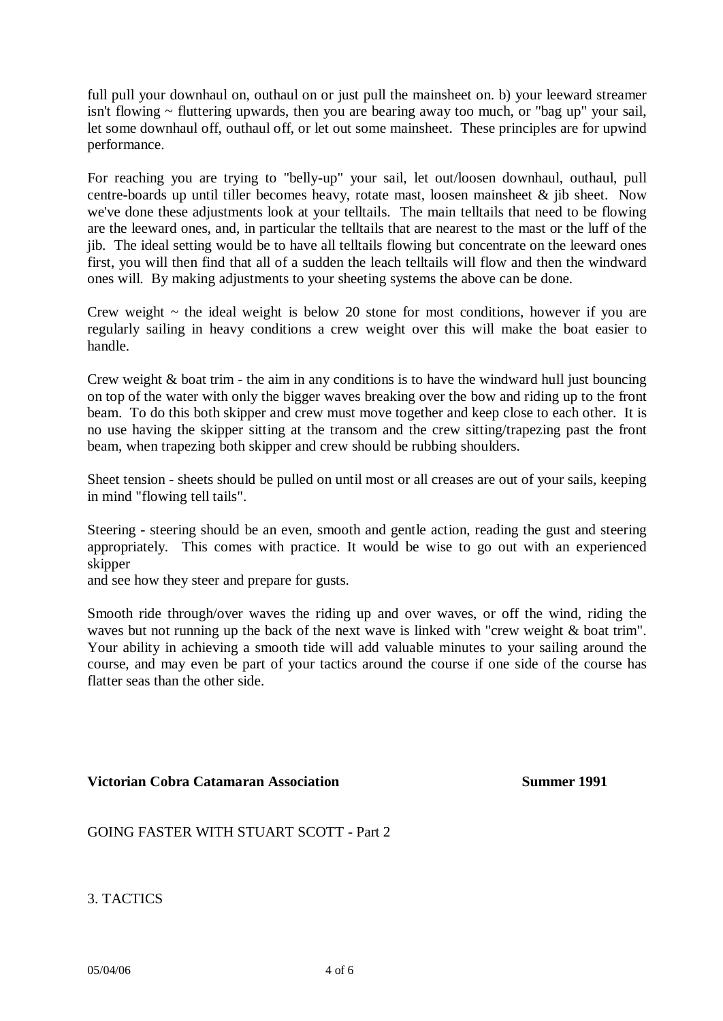full pull your downhaul on, outhaul on or just pull the mainsheet on. b) your leeward streamer isn't flowing  $\sim$  fluttering upwards, then you are bearing away too much, or "bag up" your sail, let some downhaul off, outhaul off, or let out some mainsheet. These principles are for upwind performance.

For reaching you are trying to "belly-up" your sail, let out/loosen downhaul, outhaul, pull centre-boards up until tiller becomes heavy, rotate mast, loosen mainsheet & jib sheet. Now we've done these adjustments look at your telltails. The main telltails that need to be flowing are the leeward ones, and, in particular the telltails that are nearest to the mast or the luff of the jib. The ideal setting would be to have all telltails flowing but concentrate on the leeward ones first, you will then find that all of a sudden the leach telltails will flow and then the windward ones will. By making adjustments to your sheeting systems the above can be done.

Crew weight  $\sim$  the ideal weight is below 20 stone for most conditions, however if you are regularly sailing in heavy conditions a crew weight over this will make the boat easier to handle.

Crew weight & boat trim - the aim in any conditions is to have the windward hull just bouncing on top of the water with only the bigger waves breaking over the bow and riding up to the front beam. To do this both skipper and crew must move together and keep close to each other. It is no use having the skipper sitting at the transom and the crew sitting/trapezing past the front beam, when trapezing both skipper and crew should be rubbing shoulders.

Sheet tension - sheets should be pulled on until most or all creases are out of your sails, keeping in mind "flowing tell tails".

Steering - steering should be an even, smooth and gentle action, reading the gust and steering appropriately. This comes with practice. It would be wise to go out with an experienced skipper

and see how they steer and prepare for gusts.

Smooth ride through/over waves the riding up and over waves, or off the wind, riding the waves but not running up the back of the next wave is linked with "crew weight & boat trim". Your ability in achieving a smooth tide will add valuable minutes to your sailing around the course, and may even be part of your tactics around the course if one side of the course has flatter seas than the other side.

#### **Victorian Cobra Catamaran Association Summer 1991**

## GOING FASTER WITH STUART SCOTT - Part 2

3. TACTICS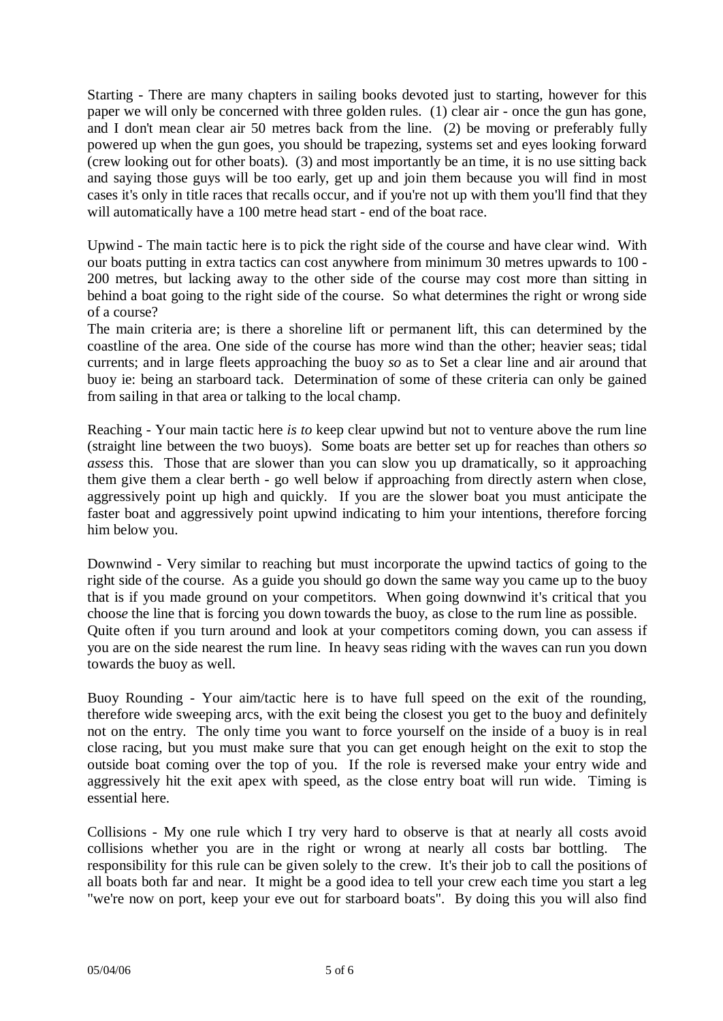Starting - There are many chapters in sailing books devoted just to starting, however for this paper we will only be concerned with three golden rules. (1) clear air - once the gun has gone, and I don't mean clear air 50 metres back from the line. (2) be moving or preferably fully powered up when the gun goes, you should be trapezing, systems set and eyes looking forward (crew looking out for other boats). (3) and most importantly be an time, it is no use sitting back and saying those guys will be too early, get up and join them because you will find in most cases it's only in title races that recalls occur, and if you're not up with them you'll find that they will automatically have a 100 metre head start - end of the boat race.

Upwind - The main tactic here is to pick the right side of the course and have clear wind. With our boats putting in extra tactics can cost anywhere from minimum 30 metres upwards to 100 - 200 metres, but lacking away to the other side of the course may cost more than sitting in behind a boat going to the right side of the course. So what determines the right or wrong side of a course?

The main criteria are; is there a shoreline lift or permanent lift, this can determined by the coastline of the area. One side of the course has more wind than the other; heavier seas; tidal currents; and in large fleets approaching the buoy *so* as to Set a clear line and air around that buoy ie: being an starboard tack. Determination of some of these criteria can only be gained from sailing in that area or talking to the local champ.

Reaching - Your main tactic here *is to* keep clear upwind but not to venture above the rum line (straight line between the two buoys). Some boats are better set up for reaches than others *so assess* this. Those that are slower than you can slow you up dramatically, so it approaching them give them a clear berth - go well below if approaching from directly astern when close, aggressively point up high and quickly. If you are the slower boat you must anticipate the faster boat and aggressively point upwind indicating to him your intentions, therefore forcing him below you.

Downwind - Very similar to reaching but must incorporate the upwind tactics of going to the right side of the course. As a guide you should go down the same way you came up to the buoy that is if you made ground on your competitors. When going downwind it's critical that you choos*e* the line that is forcing you down towards the buoy, as close to the rum line as possible. Quite often if you turn around and look at your competitors coming down, you can assess if you are on the side nearest the rum line. In heavy seas riding with the waves can run you down towards the buoy as well.

Buoy Rounding - Your aim/tactic here is to have full speed on the exit of the rounding, therefore wide sweeping arcs, with the exit being the closest you get to the buoy and definitely not on the entry. The only time you want to force yourself on the inside of a buoy is in real close racing, but you must make sure that you can get enough height on the exit to stop the outside boat coming over the top of you. If the role is reversed make your entry wide and aggressively hit the exit apex with speed, as the close entry boat will run wide. Timing is essential here.

Collisions - My one rule which I try very hard to observe is that at nearly all costs avoid collisions whether you are in the right or wrong at nearly all costs bar bottling. The responsibility for this rule can be given solely to the crew. It's their job to call the positions of all boats both far and near. It might be a good idea to tell your crew each time you start a leg "we're now on port, keep your eve out for starboard boats". By doing this you will also find